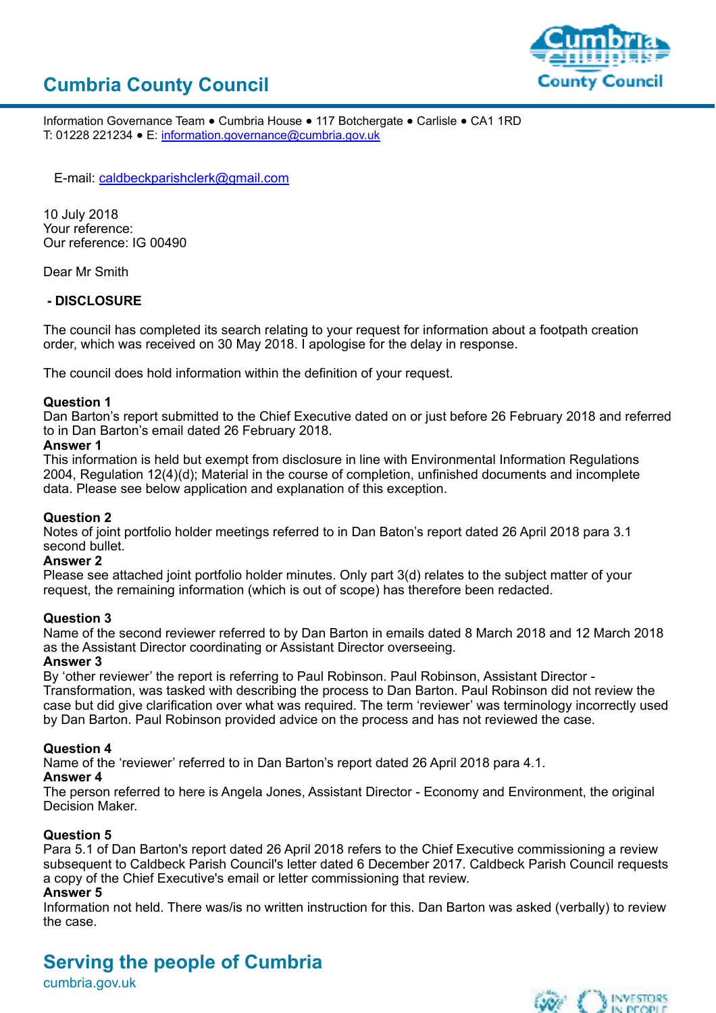



Information Governance Team ● Cumbria House ● 117 Botchergate ● Carlisle ● CA1 1RD T: 01228 221234 • E: *information.governance@cumbria.gov.uk* 

E-mail: [caldbeckparishclerk@gmail.com](mailto:caldbeckparishclerk@gmail.com)

10 July 2018 Your reference: Our reference: IG 00490

Dear Mr Smith

### **- DISCLOSURE**

The council has completed its search relating to your request for information about a footpath creation order, which was received on 30 May 2018. I apologise for the delay in response.

The council does hold information within the definition of your request.

#### **Question 1**

Dan Barton's report submitted to the Chief Executive dated on or just before 26 February 2018 and referred to in Dan Barton's email dated 26 February 2018.

#### **Answer 1**

This information is held but exempt from disclosure in line with Environmental Information Regulations 2004, Regulation 12(4)(d); Material in the course of completion, unfinished documents and incomplete data. Please see below application and explanation of this exception.

#### **Question 2**

Notes of joint portfolio holder meetings referred to in Dan Baton's report dated 26 April 2018 para 3.1 second bullet.

#### **Answer 2**

Please see attached joint portfolio holder minutes. Only part 3(d) relates to the subject matter of your request, the remaining information (which is out of scope) has therefore been redacted.

#### **Question 3**

Name of the second reviewer referred to by Dan Barton in emails dated 8 March 2018 and 12 March 2018 as the Assistant Director coordinating or Assistant Director overseeing.

#### **Answer 3**

By 'other reviewer' the report is referring to Paul Robinson. Paul Robinson, Assistant Director - Transformation, was tasked with describing the process to Dan Barton. Paul Robinson did not review the case but did give clarification over what was required. The term 'reviewer' was terminology incorrectly used by Dan Barton. Paul Robinson provided advice on the process and has not reviewed the case.

#### **Question 4**

Name of the 'reviewer' referred to in Dan Barton's report dated 26 April 2018 para 4.1.

#### **Answer 4**

The person referred to here is Angela Jones, Assistant Director - Economy and Environment, the original Decision Maker.

#### **Question 5**

Para 5.1 of Dan Barton's report dated 26 April 2018 refers to the Chief Executive commissioning a review subsequent to Caldbeck Parish Council's letter dated 6 December 2017. Caldbeck Parish Council requests a copy of the Chief Executive's email or letter commissioning that review.

#### **Answer 5**

Information not held. There was/is no written instruction for this. Dan Barton was asked (verbally) to review the case.

# **Serving the people of Cumbria**

cumbria.gov.uk

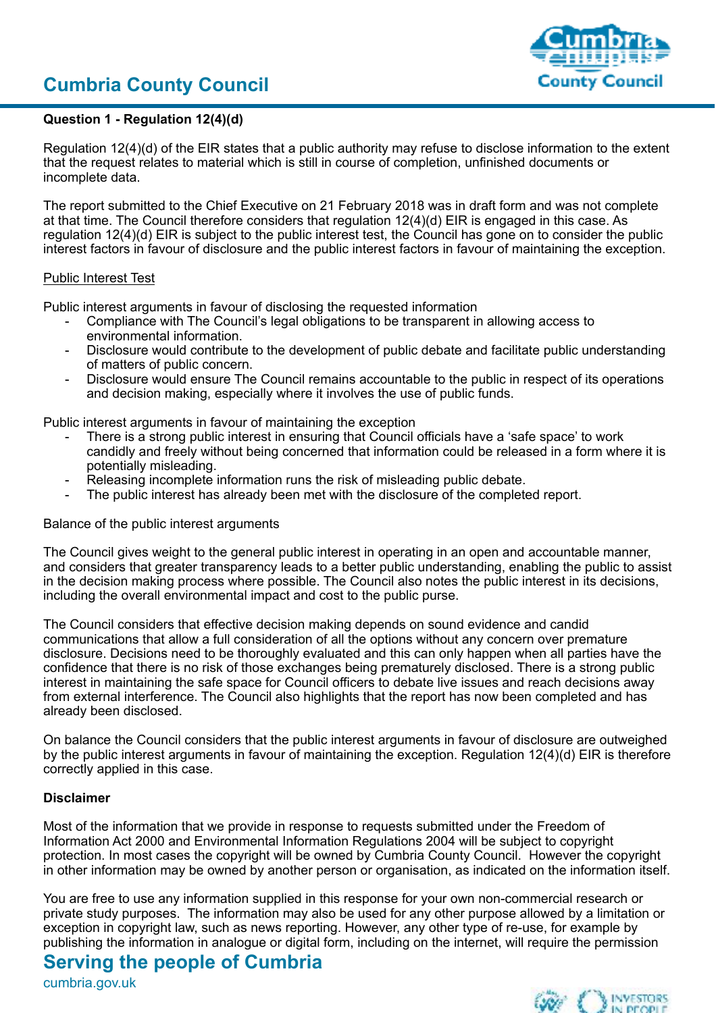# **Cumbria County Council**



## **Question 1 - Regulation 12(4)(d)**

Regulation 12(4)(d) of the EIR states that a public authority may refuse to disclose information to the extent that the request relates to material which is still in course of completion, unfinished documents or incomplete data.

The report submitted to the Chief Executive on 21 February 2018 was in draft form and was not complete at that time. The Council therefore considers that regulation 12(4)(d) EIR is engaged in this case. As regulation 12(4)(d) EIR is subject to the public interest test, the Council has gone on to consider the public interest factors in favour of disclosure and the public interest factors in favour of maintaining the exception.

### Public Interest Test

Public interest arguments in favour of disclosing the requested information

- Compliance with The Council's legal obligations to be transparent in allowing access to environmental information.
- Disclosure would contribute to the development of public debate and facilitate public understanding of matters of public concern.
- Disclosure would ensure The Council remains accountable to the public in respect of its operations and decision making, especially where it involves the use of public funds.

Public interest arguments in favour of maintaining the exception

- There is a strong public interest in ensuring that Council officials have a 'safe space' to work candidly and freely without being concerned that information could be released in a form where it is potentially misleading.
- Releasing incomplete information runs the risk of misleading public debate.
- The public interest has already been met with the disclosure of the completed report.

#### Balance of the public interest arguments

The Council gives weight to the general public interest in operating in an open and accountable manner, and considers that greater transparency leads to a better public understanding, enabling the public to assist in the decision making process where possible. The Council also notes the public interest in its decisions, including the overall environmental impact and cost to the public purse.

The Council considers that effective decision making depends on sound evidence and candid communications that allow a full consideration of all the options without any concern over premature disclosure. Decisions need to be thoroughly evaluated and this can only happen when all parties have the confidence that there is no risk of those exchanges being prematurely disclosed. There is a strong public interest in maintaining the safe space for Council officers to debate live issues and reach decisions away from external interference. The Council also highlights that the report has now been completed and has already been disclosed.

On balance the Council considers that the public interest arguments in favour of disclosure are outweighed by the public interest arguments in favour of maintaining the exception. Regulation 12(4)(d) EIR is therefore correctly applied in this case.

## **Disclaimer**

Most of the information that we provide in response to requests submitted under the Freedom of Information Act 2000 and Environmental Information Regulations 2004 will be subject to copyright protection. In most cases the copyright will be owned by Cumbria County Council. However the copyright in other information may be owned by another person or organisation, as indicated on the information itself.

You are free to use any information supplied in this response for your own non-commercial research or private study purposes. The information may also be used for any other purpose allowed by a limitation or exception in copyright law, such as news reporting. However, any other type of re-use, for example by publishing the information in analogue or digital form, including on the internet, will require the permission

# **Serving the people of Cumbria**

cumbria.gov.uk